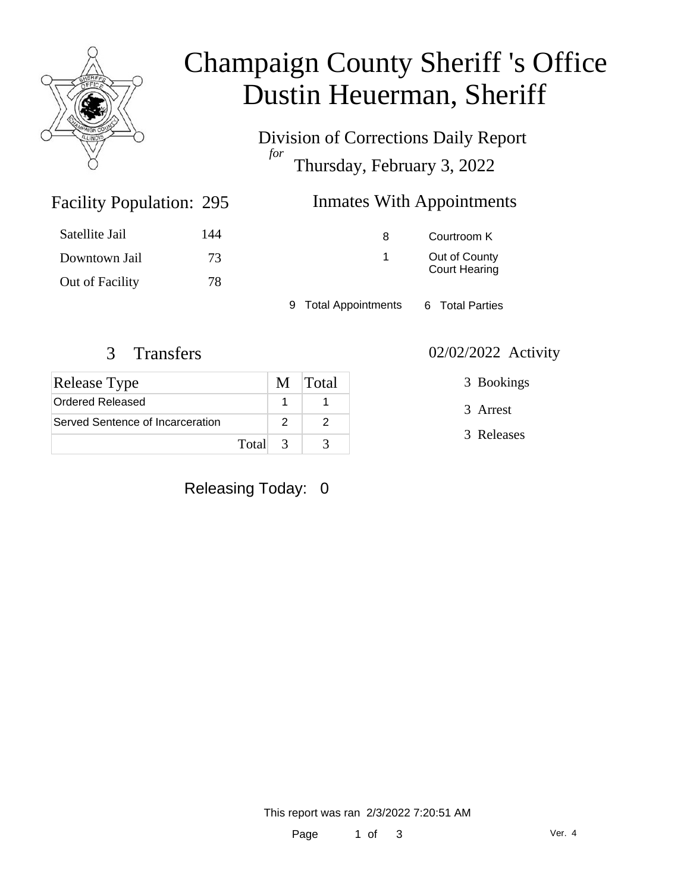

# Champaign County Sheriff 's Office Dustin Heuerman, Sheriff

Division of Corrections Daily Report *for* Thursday, February 3, 2022

### Inmates With Appointments

| Satellite Jail  | 144 | 8                    | Courtroom K          |
|-----------------|-----|----------------------|----------------------|
| Downtown Jail   | 73  |                      | Out of County        |
| Out of Facility | 78  |                      | <b>Court Hearing</b> |
|                 |     | 9 Total Appointments | 6 Total Parties      |

Facility Population: 295

| Release Type                     |               | M Total |
|----------------------------------|---------------|---------|
| Ordered Released                 |               |         |
| Served Sentence of Incarceration |               |         |
| Total                            | $\mathcal{R}$ |         |

Releasing Today: 0

#### 3 Transfers 02/02/2022 Activity

3 Bookings

3 Arrest

3 Releases

This report was ran 2/3/2022 7:20:51 AM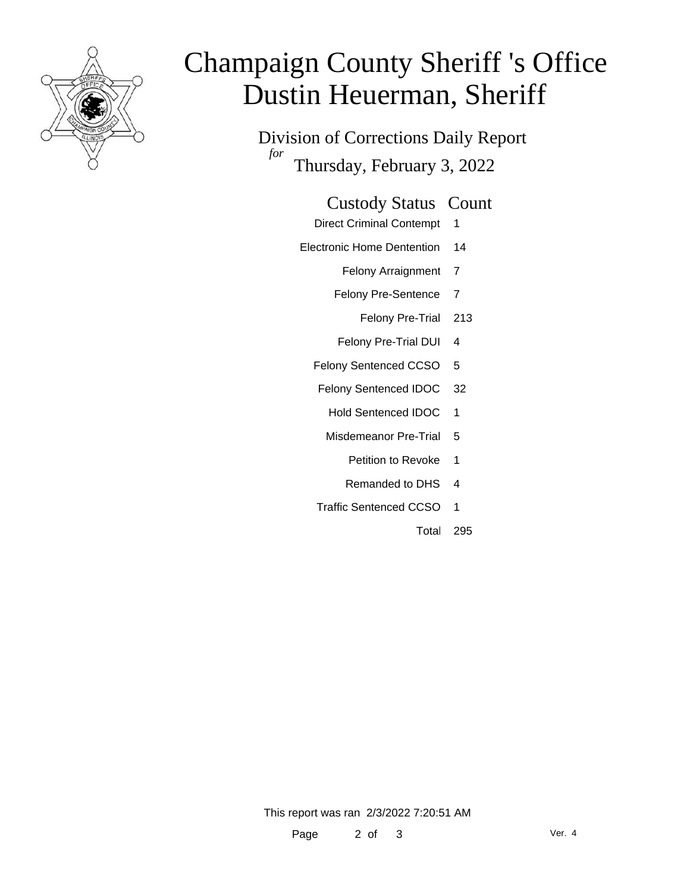

# Champaign County Sheriff 's Office Dustin Heuerman, Sheriff

Division of Corrections Daily Report *for* Thursday, February 3, 2022

#### Custody Status Count

- Direct Criminal Contempt 1
- Electronic Home Dentention 14
	- Felony Arraignment 7
	- Felony Pre-Sentence 7
		- Felony Pre-Trial 213
	- Felony Pre-Trial DUI 4
	- Felony Sentenced CCSO 5
	- Felony Sentenced IDOC 32
		- Hold Sentenced IDOC 1
		- Misdemeanor Pre-Trial 5
			- Petition to Revoke 1
			- Remanded to DHS 4
	- Traffic Sentenced CCSO 1
		- Total 295

This report was ran 2/3/2022 7:20:51 AM